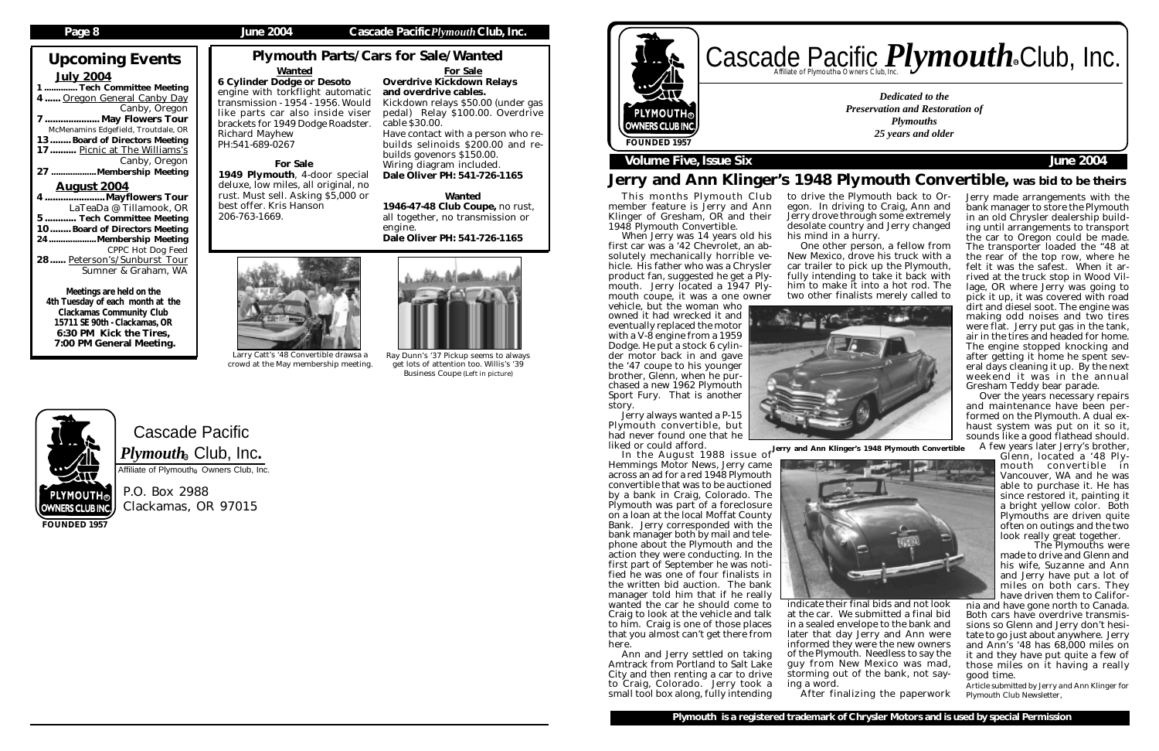Cascade Pacific  $\boldsymbol{P} \boldsymbol{l}$ y $\boldsymbol{m} \boldsymbol{o}$ ut $\boldsymbol{h}_\circledast$  Club, Inc. Affiliate of Plymouth<sup>®</sup> Owners Club, Inc.

P.O. Box 2988 Clackamas, OR 97015

# Upcoming Events July 2004

....<sup>Tech</sup> Committee Meeting 4 ...... Oregon General Canby Day Canby, Oregon 7 ..................... May Flowers Tour McMenamins Edgefield, Troutdale, OR 13........ Board of Directors Meeting 17.......... Picnic at The Williams's Canby, Oregon<br>27 .......................Membership Meeting .....Membership Meeting August 2004 4 .......................Mayflowers Tour

LaTeaDa @ Tillamook, OR ...... Tech Committee Meeting 10........ Board of Directors Meeting 24....................Membership Meeting CPPC Hot Dog Feed 28...... Peterson's/Sunburst Tour Sumner & Graham, WA

# Cascade Pacific *Plymouth* Souriers Club, Inc. R

Meetings are held on the 4th Tuesday of each month at the Clackamas Community Club 15711 SE 90th - Clackamas, OR 6:30 PM Kick the Tires, 7:00 PM General Meeting.

**FOUNDED 1957**

### **Page 8 June 2004 Cascade Pacific***Plymouth***Club, Inc.**

Jerry always wanted a P-15 Plymouth convertible, but had never found one that he<br>liked or could afford. liked or could afford.

*Dedicated to the Preservation and Restoration of Plymouths 25 years and older*



### **Volume Five, Issue Six** *June 2004*

## Jerry and Ann Klinger's 1948 Plymouth Convertible, was bid to be theirs

# Plymouth Parts/Cars for Sale/Wanted

This months Plymouth Club member feature is Jerry and Ann Klinger of Gresham, OR and their 1948 Plymouth Convertible.

When Jerry was 14 years old his first car was a '42 Chevrolet, an absolutely mechanically horrible vehicle. His father who was a Chrysler product fan, suggested he get a Plymouth. Jerry located a 1947 Plymouth coupe, it was a one owner vehicle, but the woman who

owned it had wrecked it and eventually replaced the motor with a V-8 engine from a 1959 Dodge. He put a stock 6 cylinder motor back in and gave the '47 coupe to his younger brother, Glenn, when he purchased a new 1962 Plymouth Sport Fury. That is another story.

> A few years later Jerry's brother, Glenn, located a '48 Ply-

Hemmings Motor News, Jerry came across an ad for a red 1948 Plymouth convertible that was to be auctioned by a bank in Craig, Colorado. The Plymouth was part of a foreclosure on a loan at the local Moffat County Bank. Jerry corresponded with the bank manager both by mail and telephone about the Plymouth and the action they were conducting. In the first part of September he was notified he was one of four finalists in the written bid auction. The bank manager told him that if he really wanted the car he should come to Craig to look at the vehicle and talk to him. Craig is one of those places that you almost can't get there from here.

Ann and Jerry settled on taking Amtrack from Portland to Salt Lake City and then renting a car to drive to Craig, Colorado. Jerry took a small tool box along, fully intending

### Wanted 6 Cylinder Dodge or Desoto engine with torkflight automatic transmission - 1954 - 1956. Would like parts car also inside viser brackets for 1949 Dodge Roadster. Richard Mayhew PH:541-689-0267

to drive the Plymouth back to Oregon. In driving to Craig, Ann and Jerry drove through some extremely desolate country and Jerry changed

his mind in a hurry.

One other person, a fellow from New Mexico, drove his truck with a car trailer to pick up the Plymouth, fully intending to take it back with him to make it into a hot rod. The two other finalists merely called to

indicate their final bids and not look at the car. We submitted a final bid in a sealed envelope to the bank and later that day Jerry and Ann were informed they were the new owners of the Plymouth. Needless to say the guy from New Mexico was mad, storming out of the bank, not say-



In the August 1988 issue of Jerry and Ann Klinger's 1948 Plymouth Convertible



ing a word.



After finalizing the paperwork

Jerry made arrangements with the bank manager to store the Plymouth in an old Chrysler dealership building until arrangements to transport the car to Oregon could be made. The transporter loaded the "48 at the rear of the top row, where he felt it was the safest. When it arrived at the truck stop in Wood Village, OR where Jerry was going to pick it up, it was covered with road dirt and diesel soot. The engine was making odd noises and two tires were flat. Jerry put gas in the tank, air in the tires and headed for home. The engine stopped knocking and after getting it home he spent several days cleaning it up. By the next weekend it was in the annual Gresham Teddy bear parade.

Over the years necessary repairs and maintenance have been performed on the Plymouth. A dual exhaust system was put on it so it, sounds like a good flathead should.

> mouth convertible in Vancouver, WA and he was able to purchase it. He has since restored it, painting it a bright yellow color. Both Plymouths are driven quite often on outings and the two look really great together.

> The Plymouths were made to drive and Glenn and his wife, Suzanne and Ann and Jerry have put a lot of miles on both cars. They have driven them to Califor-

nia and have gone north to Canada. Both cars have overdrive transmissions so Glenn and Jerry don't hesitate to go just about anywhere. Jerry and Ann's '48 has 68,000 miles on it and they have put quite a few of those miles on it having a really good time.

*Article submitted by Jerry and Ann Klinger for Plymouth Club Newsletter,*

For Sale Overdrive Kickdown Relays and overdrive cables. Kickdown relays \$50.00 (under gas pedal) Relay \$100.00. Overdrive

cable \$30.00. Have contact with a person who rebuilds selinoids \$200.00 and rebuilds govenors \$150.00. Wiring diagram included.

Dale Oliver PH: 541-726-1165

Wanted 1946-47-48 Club Coupe, no rust, all together, no transmission or engine.

Dale Oliver PH: 541-726-1165



### For Sale 1949 Plymouth, 4-door special deluxe, low miles, all original, no rust. Must sell. Asking \$5,000 or best offer. Kris Hanson 206-763-1669.

Larry Catt's '48 Convertible drawsa a crowd at the May membership meeting.



Ray Dunn's '37 Pickup seems to always get lots of attention too. Willis's '39 Business Coupe (Left in picture)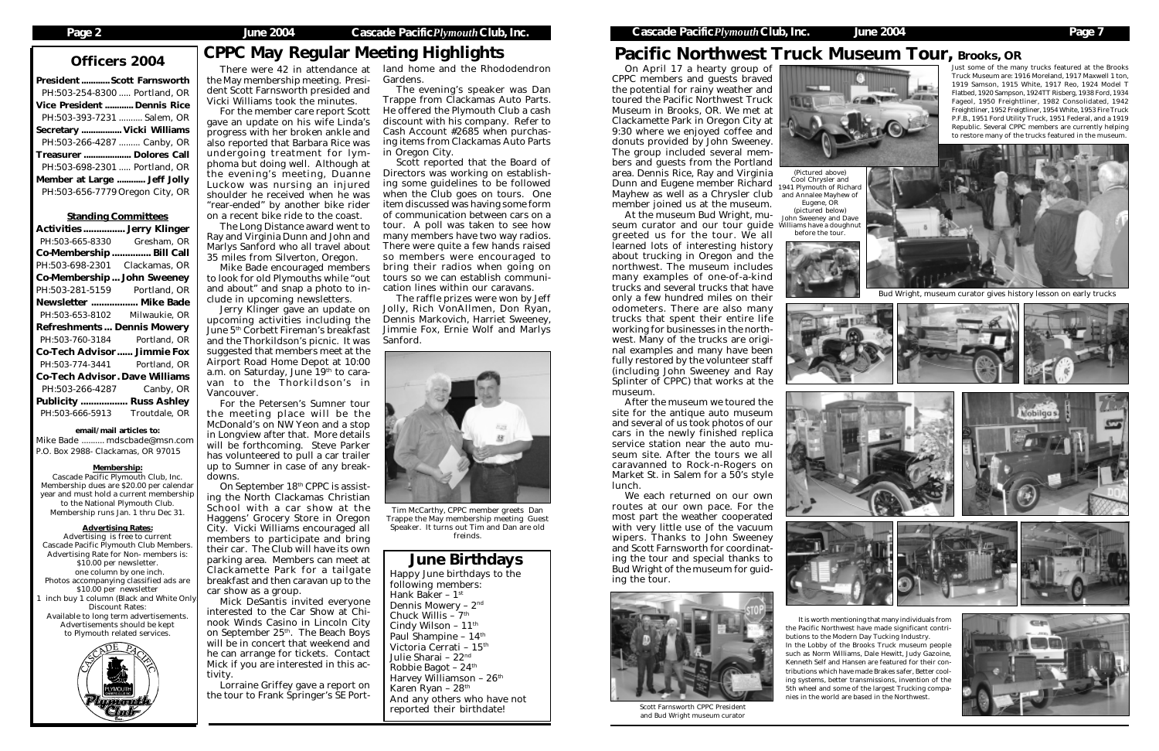President ............Scott Farnsworth PH:503-254-8300 ..... Portland, OR Vice President ............ Dennis Rice PH:503-393-7231 .......... Salem, OR Secretary ................. Vicki Williams PH:503-266-4287 ......... Canby, OR Treasurer .................... Dolores Call PH:503-698-2301 ..... Portland, OR Member at Large ............ Jeff Jolly PH:503-656-7779Oregon City, OR

Standing Committees Activities ................ Jerry Klinger PH:503-665-8330 Gresham, OR Co-Membership ............... Bill Call PH:503-698-2301 Clackamas, OR Co-Membership ... John Sweeney PH:503-281-5159 Portland, OR Newsletter .................. Mike Bade PH:503-653-8102 Milwaukie, OR Refreshments ... Dennis Mowery PH:503-760-3184 Portland, OR Co-Tech Advisor ...... Jimmie Fox PH:503-774-3441 Portland, OR Co-Tech Advisor. Dave Williams PH:503-266-4287 Canby, OR Publicity .................. Russ Ashley PH:503-666-5913 Troutdale, OR email/mail articles to: Mike Bade .......... mdscbade@msn.com P.O. Box 2988- Clackamas, OR 97015 Membership: Cascade Pacific Plymouth Club, Inc. Membership dues are \$20.00 per calendar year and must hold a current membership to the National Plymouth Club. Membership runs Jan. 1 thru Dec 31. Advertising Rates: Advertising is free to current Cascade Pacific Plymouth Club Members. Advertising Rate for Non- members is: \$10.00 per newsletter. one column by one inch. Photos accompanying classified ads are \$10.00 per newsletter inch buy 1 column (Black and White Only Discount Rates: Available to long term advertisements. Advertisements should be kept to Plymouth related services.

the May membership meeting. President Scott Farnsworth presided and Vicki Williams took the minutes.

For the member care report Scott gave an update on his wife Linda's progress with her broken ankle and also reported that Barbara Rice was undergoing treatment for lymphoma but doing well. Although at the evening's meeting, Duanne Luckow was nursing an injured shoulder he received when he was "rear-ended" by another bike rider on a recent bike ride to the coast.

The Long Distance award went to Ray and Virginia Dunn and John and Marlys Sanford who all travel about 35 miles from Silverton, Oregon.

Mike Bade encouraged members to look for old Plymouths while "out and about" and snap a photo to include in upcoming newsletters.

Jerry Klinger gave an update on upcoming activities including the June 5<sup>th</sup> Corbett Fireman's breakfast and the Thorkildson's picnic. It was suggested that members meet at the Airport Road Home Depot at 10:00 a.m. on Saturday, June  $19<sup>th</sup>$  to caravan to the Thorkildson's in Vancouver.

There were 42 in attendance at land home and the Rhododendron Gardens. The evening's speaker was Dan

For the Petersen's Sumner tour the meeting place will be the McDonald's on NW Yeon and a stop in Longview after that. More details will be forthcoming. Steve Parker has volunteered to pull a car trailer up to Sumner in case of any breakdowns.

(Pictured above) 1941 Plymouth of Richard and Annalee Mayhew of Eugene, OR<br>(pictured below)

On September 18th CPPC is assisting the North Clackamas Christian School with a car show at the Haggens' Grocery Store in Oregon City. Vicki Williams encouraged all members to participate and bring their car. The Club will have its own parking area. Members can meet at Clackamette Park for a tailgate breakfast and then caravan up to the car show as a group.

Mick DeSantis invited everyone interested to the Car Show at Chinook Winds Casino in Lincoln City on September 25<sup>th</sup>. The Beach Boys will be in concert that weekend and he can arrange for tickets. Contact Mick if you are interested in this activity.

Lorraine Griffey gave a report on the tour to Frank Springer's SE Port-

Trappe from Clackamas Auto Parts. He offered the Plymouth Club a cash discount with his company. Refer to Cash Account #2685 when purchasing items from Clackamas Auto Parts in Oregon City.

Scott reported that the Board of Directors was working on establishing some guidelines to be followed when the Club goes on tours. One item discussed was having some form of communication between cars on a tour. A poll was taken to see how many members have two way radios. There were quite a few hands raised so members were encouraged to bring their radios when going on tours so we can establish communication lines within our caravans.

The raffle prizes were won by Jeff Jolly, Rich VonAllmen, Don Ryan, Dennis Markovich, Harriet Sweeney, Jimmie Fox, Ernie Wolf and Marlys Sanford.

On April 17 a hearty group of CPPC members and guests braved the potential for rainy weather and toured the Pacific Northwest Truck Museum in Brooks, OR. We met at Clackamette Park in Oregon City at 9:30 where we enjoyed coffee and donuts provided by John Sweeney. The group included several members and guests from the Portland area. Dennis Rice, Ray and Virginia Dunn and Eugene member Richard Cool Chrysler and Mayhew as well as a Chrysler club member joined us at the museum.

At the museum Bud Wright, mu-(pictured below) seum curator and our tour guide Williams have a doughnut greeted us for the tour. We all learned lots of interesting history about trucking in Oregon and the northwest. The museum includes many examples of one-of-a-kind trucks and several trucks that have only a few hundred miles on their odometers. There are also many trucks that spent their entire life working for businesses in the northwest. Many of the trucks are original examples and many have been fully restored by the volunteer staff (including John Sweeney and Ray Splinter of CPPC) that works at the museum.

After the museum we toured the site for the antique auto museum and several of us took photos of our cars in the newly finished replica service station near the auto museum site. After the tours we all caravanned to Rock-n-Rogers on Market St. in Salem for a 50's style lunch.

We each returned on our own routes at our own pace. For the most part the weather cooperated with very little use of the vacuum wipers. Thanks to John Sweeney and Scott Farnsworth for coordinating the tour and special thanks to Bud Wright of the museum for guiding the tour.

# Pacific Northwest Truck Museum Tour, Brooks, OR



Bud Wright, museum curator gives history lesson on early trucks







Scott Farnsworth CPPC President

# Officers 2004 CPPC May Regular Meeting Highlights



and Bud Wright museum curator



John Sweeney and Dave before the tour.









## June Birthdays

Happy June birthdays to the following members: Hank Baker - 1st Dennis Mowery – 2nd Chuck Willis  $-7$ <sup>th</sup> Cindy Wilson -  $11<sup>th</sup>$ Paul Shampine –  $14<sup>th</sup>$ Victoria Cerrati - 15<sup>th</sup> Julie Sharai – 22nd Robbie Bagot – 24th Harvey Williamson –  $26<sup>th</sup>$ Karen Ryan - 28<sup>th</sup> And any others who have not reported their birthdate!



Tim McCarthy, CPPC member greets Dan Trappe the May membership meeting Guest Speaker. It turns out Tim and Dan are old freinds.

It is worth mentioning that many individuals from the Pacific Northwest have made significant contributions to the Modern Day Tucking Industry. In the Lobby of the Brooks Truck museum people such as Norm Williams, Dale Hewitt, Judy Gazoine, Kenneth Self and Hansen are featured for their contributions which have made Brakes safer, Better cooling systems, better transmissions, invention of the 5th wheel and some of the largest Trucking companies in the world are based in the Northwest.



Just some of the many trucks featured at the Brooks Truck Museum are: 1916 Moreland, 1917 Maxwell 1 ton, 1919 Samson, 1915 White, 1917 Reo, 1924 Model T Flatbed, 1920 Sampson, 1924TT Risberg, 1938 Ford, 1934 Fageol, 1950 Freightliner, 1982 Consolidated, 1942 Freightliner, 1952 Freigtliner, 1954 White, 1953 Fire Truck P.F.B., 1951 Ford Utility Truck, 1951 Federal, and a 1919 Republic. Several CPPC members are currently helping to restore many of the trucks featured in the museum.

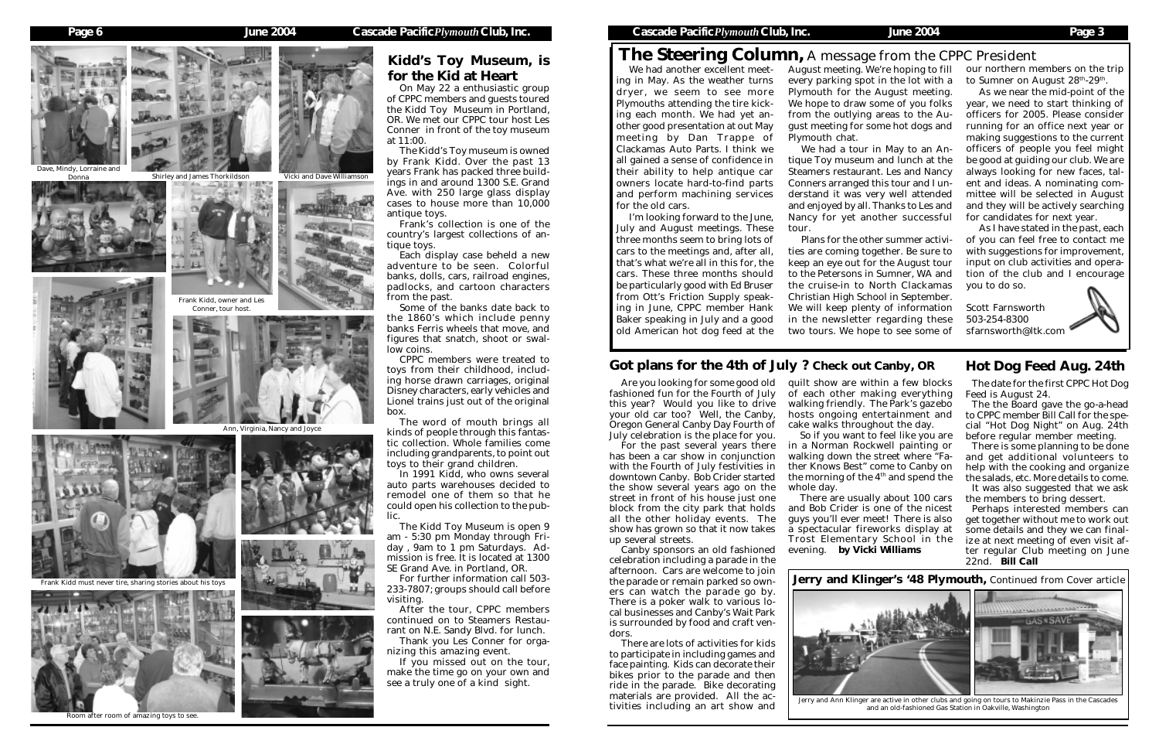# The Steering Column, A message from the CPPC President

The date for the first CPPC Hot Dog Feed is August 24.

It was also suggested that we ask the members to bring dessert.

The the Board gave the go-a-head to CPPC member Bill Call for the special "Hot Dog Night" on Aug. 24th before regular member meeting.

There is some planning to be done and get additional volunteers to help with the cooking and organize the salads, etc. More details to come.

Perhaps interested members can get together without me to work out some details and they we can finalize at next meeting of even visit after regular Club meeting on June 22nd. *Bill Call*

We had another excellent meet-August meeting. We're hoping to fill ing in May. As the weather turns dryer, we seem to see more Plymouths attending the tire kicking each month. We had yet another good presentation at out May meeting by Dan Trappe of Clackamas Auto Parts. I think we all gained a sense of confidence in their ability to help antique car owners locate hard-to-find parts and perform machining services for the old cars.

I'm looking forward to the June, July and August meetings. These three months seem to bring lots of cars to the meetings and, after all, that's what we're all in this for, the cars. These three months should be particularly good with Ed Bruser from Ott's Friction Supply speaking in June, CPPC member Hank Baker speaking in July and a good old American hot dog feed at the

In 1991 Kidd, who owns several auto parts warehouses decided to remodel one of them so that he could open his collection to the public.

On May 22 a enthusiastic group of CPPC members and guests toured the Kidd Toy Museum in Portland, OR. We met our CPPC tour host Les Conner in front of the toy museum at 11:00.

The Kidd's Toy museum is owned by Frank Kidd. Over the past 13 years Frank has packed three buildings in and around 1300 S.E. Grand Ave. with 250 large glass display cases to house more than 10,000 antique toys.

Frank's collection is one of the country's largest collections of antique toys.

Each display case beheld a new adventure to be seen. Colorful banks, dolls, cars, railroad engines, padlocks, and cartoon characters from the past.

Some of the banks date back to the 1860's which include penny banks Ferris wheels that move, and figures that snatch, shoot or swallow coins.

CPPC members were treated to toys from their childhood, including horse drawn carriages, original Disney characters, early vehicles and Lionel trains just out of the original box.

The word of mouth brings all kinds of people through this fantastic collection. Whole families come including grandparents, to point out toys to their grand children.

in a Norman Rockwell painting or walking down the street where "Father Knows Best" come to Canby on the morning of the  $4<sup>th</sup>$  and spend the

The Kidd Toy Museum is open 9 am - 5:30 pm Monday through Friday , 9am to 1 pm Saturdays. Admission is free. It is located at 1300 SE Grand Ave. in Portland, OR.

our northern members on the trip to Sumner on August 28<sup>th</sup>-29<sup>th</sup>.

For further information call 503- 233-7807; groups should call before visiting.

After the tour, CPPC members continued on to Steamers Restaurant on N.E. Sandy Blvd. for lunch.

Thank you Les Conner for organizing this amazing event.

If you missed out on the tour, make the time go on your own and see a truly one of a kind sight.

### Got plans for the 4th of July ? Check out Canby, OR Hot Dog Feed Aug. 24th

ve, Mindy, Lorraine and Donna

every parking spot in the lot with a Plymouth for the August meeting. We hope to draw some of you folks from the outlying areas to the August meeting for some hot dogs and

Plymouth chat.

We had a tour in May to an Antique Toy museum and lunch at the Steamers restaurant. Les and Nancy Conners arranged this tour and I understand it was very well attended and enjoyed by all. Thanks to Les and Nancy for yet another successful tour.

Plans for the other summer activities are coming together. Be sure to keep an eye out for the August tour to the Petersons in Sumner, WA and the cruise-in to North Clackamas Christian High School in September. We will keep plenty of information in the newsletter regarding these two tours. We hope to see some of



Are you looking for some good old fashioned fun for the Fourth of July this year? Would you like to drive your old car too? Well, the Canby, Oregon General Canby Day Fourth of July celebration is the place for you.

For the past several years there has been a car show in conjunction with the Fourth of July festivities in downtown Canby. Bob Crider started the show several years ago on the street in front of his house just one block from the city park that holds all the other holiday events. The show has grown so that it now takes up several streets.

Canby sponsors an old fashioned celebration including a parade in the afternoon. Cars are welcome to join the parade or remain parked so owners can watch the parade go by. There is a poker walk to various local businesses and Canby's Wait Park is surrounded by food and craft vendors.

There are lots of activities for kids to participate in including games and face painting. Kids can decorate their bikes prior to the parade and then ride in the parade. Bike decorating materials are provided. All the activities including an art show and

quilt show are within a few blocks of each other making everything walking friendly. The Park's gazebo hosts ongoing entertainment and cake walks throughout the day. So if you want to feel like you are

whole day.

There are usually about 100 cars and Bob Crider is one of the nicest guys you'll ever meet! There is also a spectacular fireworks display at Trost Elementary School in the evening. *by Vicki Williams*



As we near the mid-point of the year, we need to start thinking of officers for 2005. Please consider running for an office next year or making suggestions to the current officers of people you feel might be good at guiding our club. We are always looking for new faces, talent and ideas. A nominating committee will be selected in August and they will be actively searching for candidates for next year.

As I have stated in the past, each of you can feel free to contact me with suggestions for improvement, input on club activities and operation of the club and I encourage you to do so.

Scott Farnsworth 503-254-8300 sfarnsworth@ltk.com



Frank Kidd, owner and Les Conner, tour host.













Room after room of amazing toys to see.



Frank Kidd must never tire, sharing stories about his toys

## Kidd's Toy Museum, is for the Kid at Heart

Jerry and Klinger's '48 Plymouth, Continued from Cover article

Jerry and Ann Klinger are active in other clubs and going on tours to Makinzie Pass in the Cascades and an old-fashioned Gas Station in Oakville, Washington